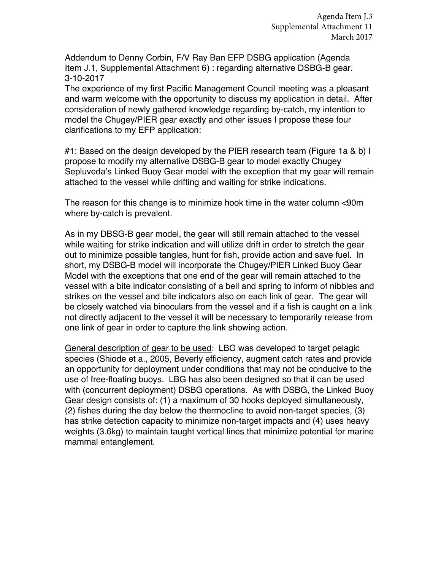Addendum to Denny Corbin, F/V Ray Ban EFP DSBG application (Agenda Item J.1, Supplemental Attachment 6) : regarding alternative DSBG-B gear. 3-10-2017

The experience of my first Pacific Management Council meeting was a pleasant and warm welcome with the opportunity to discuss my application in detail. After consideration of newly gathered knowledge regarding by-catch, my intention to model the Chugey/PIER gear exactly and other issues I propose these four clarifications to my EFP application:

#1: Based on the design developed by the PIER research team (Figure 1a & b) I propose to modify my alternative DSBG-B gear to model exactly Chugey Sepluveda's Linked Buoy Gear model with the exception that my gear will remain attached to the vessel while drifting and waiting for strike indications.

The reason for this change is to minimize hook time in the water column <90m where by-catch is prevalent.

As in my DBSG-B gear model, the gear will still remain attached to the vessel while waiting for strike indication and will utilize drift in order to stretch the gear out to minimize possible tangles, hunt for fish, provide action and save fuel. In short, my DSBG-B model will incorporate the Chugey/PIER Linked Buoy Gear Model with the exceptions that one end of the gear will remain attached to the vessel with a bite indicator consisting of a bell and spring to inform of nibbles and strikes on the vessel and bite indicators also on each link of gear. The gear will be closely watched via binoculars from the vessel and if a fish is caught on a link not directly adjacent to the vessel it will be necessary to temporarily release from one link of gear in order to capture the link showing action.

General description of gear to be used: LBG was developed to target pelagic species (Shiode et a., 2005, Beverly efficiency, augment catch rates and provide an opportunity for deployment under conditions that may not be conducive to the use of free-floating buoys. LBG has also been designed so that it can be used with (concurrent deployment) DSBG operations. As with DSBG, the Linked Buoy Gear design consists of: (1) a maximum of 30 hooks deployed simultaneously, (2) fishes during the day below the thermocline to avoid non-target species, (3) has strike detection capacity to minimize non-target impacts and (4) uses heavy weights (3.6kg) to maintain taught vertical lines that minimize potential for marine mammal entanglement.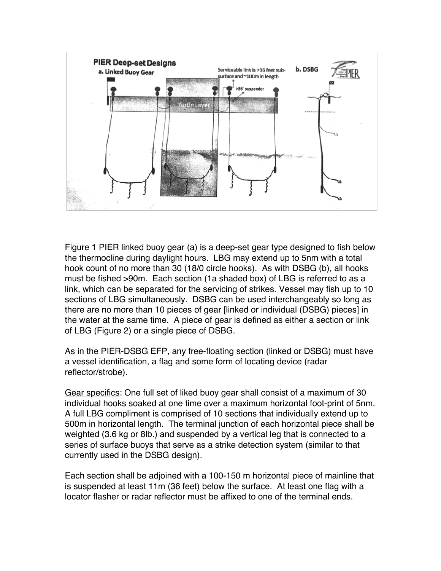

Figure 1 PIER linked buoy gear (a) is a deep-set gear type designed to fish below the thermocline during daylight hours. LBG may extend up to 5nm with a total hook count of no more than 30 (18/0 circle hooks). As with DSBG (b), all hooks must be fished >90m. Each section (1a shaded box) of LBG is referred to as a link, which can be separated for the servicing of strikes. Vessel may fish up to 10 sections of LBG simultaneously. DSBG can be used interchangeably so long as there are no more than 10 pieces of gear [linked or individual (DSBG) pieces] in the water at the same time. A piece of gear is defined as either a section or link of LBG (Figure 2) or a single piece of DSBG.

As in the PIER-DSBG EFP, any free-floating section (linked or DSBG) must have a vessel identification, a flag and some form of locating device (radar reflector/strobe).

Gear specifics: One full set of liked buoy gear shall consist of a maximum of 30 individual hooks soaked at one time over a maximum horizontal foot-print of 5nm. A full LBG compliment is comprised of 10 sections that individually extend up to 500m in horizontal length. The terminal junction of each horizontal piece shall be weighted (3.6 kg or 8lb.) and suspended by a vertical leg that is connected to a series of surface buoys that serve as a strike detection system (similar to that currently used in the DSBG design).

Each section shall be adjoined with a 100-150 m horizontal piece of mainline that is suspended at least 11m (36 feet) below the surface. At least one flag with a locator flasher or radar reflector must be affixed to one of the terminal ends.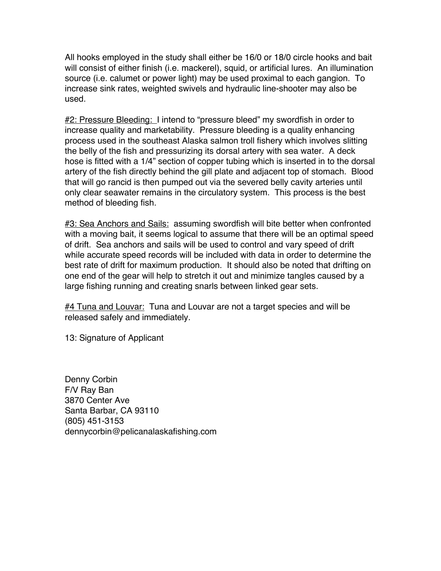All hooks employed in the study shall either be 16/0 or 18/0 circle hooks and bait will consist of either finish (i.e. mackerel), squid, or artificial lures. An illumination source (i.e. calumet or power light) may be used proximal to each gangion. To increase sink rates, weighted swivels and hydraulic line-shooter may also be used.

#2: Pressure Bleeding: I intend to "pressure bleed" my swordfish in order to increase quality and marketability. Pressure bleeding is a quality enhancing process used in the southeast Alaska salmon troll fishery which involves slitting the belly of the fish and pressurizing its dorsal artery with sea water. A deck hose is fitted with a 1/4" section of copper tubing which is inserted in to the dorsal artery of the fish directly behind the gill plate and adjacent top of stomach. Blood that will go rancid is then pumped out via the severed belly cavity arteries until only clear seawater remains in the circulatory system. This process is the best method of bleeding fish.

#3: Sea Anchors and Sails: assuming swordfish will bite better when confronted with a moving bait, it seems logical to assume that there will be an optimal speed of drift. Sea anchors and sails will be used to control and vary speed of drift while accurate speed records will be included with data in order to determine the best rate of drift for maximum production. It should also be noted that drifting on one end of the gear will help to stretch it out and minimize tangles caused by a large fishing running and creating snarls between linked gear sets.

#4 Tuna and Louvar: Tuna and Louvar are not a target species and will be released safely and immediately.

13: Signature of Applicant

Denny Corbin F/V Ray Ban 3870 Center Ave Santa Barbar, CA 93110 (805) 451-3153 dennycorbin@pelicanalaskafishing.com